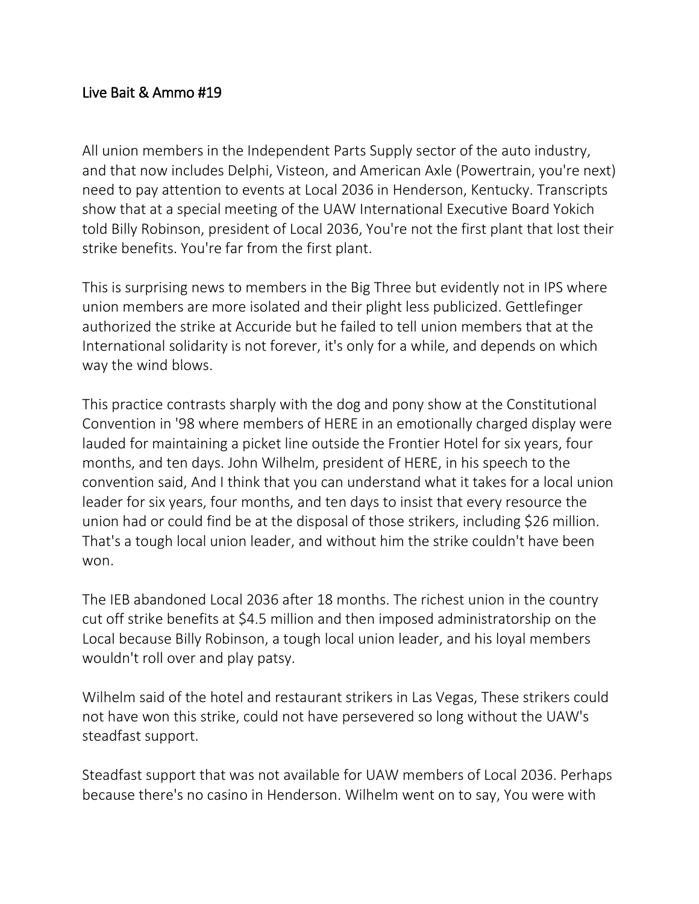## Live Bait & Ammo #19

All union members in the Independent Parts Supply sector of the auto industry, and that now includes Delphi, Visteon, and American Axle (Powertrain, you're next) need to pay attention to events at Local 2036 in Henderson, Kentucky. Transcripts show that at a special meeting of the UAW International Executive Board Yokich told Billy Robinson, president of Local 2036, You're not the first plant that lost their strike benefits. You're far from the first plant.

This is surprising news to members in the Big Three but evidently not in IPS where union members are more isolated and their plight less publicized. Gettlefinger authorized the strike at Accuride but he failed to tell union members that at the International solidarity is not forever, it's only for a while, and depends on which way the wind blows.

This practice contrasts sharply with the dog and pony show at the Constitutional Convention in '98 where members of HERE in an emotionally charged display were lauded for maintaining a picket line outside the Frontier Hotel for six years, four months, and ten days. John Wilhelm, president of HERE, in his speech to the convention said, And I think that you can understand what it takes for a local union leader for six years, four months, and ten days to insist that every resource the union had or could find be at the disposal of those strikers, including \$26 million. That's a tough local union leader, and without him the strike couldn't have been won.

The IEB abandoned Local 2036 after 18 months. The richest union in the country cut off strike benefits at \$4.5 million and then imposed administratorship on the Local because Billy Robinson, a tough local union leader, and his loyal members wouldn't roll over and play patsy.

Wilhelm said of the hotel and restaurant strikers in Las Vegas, These strikers could not have won this strike, could not have persevered so long without the UAW's steadfast support.

Steadfast support that was not available for UAW members of Local 2036. Perhaps because there's no casino in Henderson. Wilhelm went on to say, You were with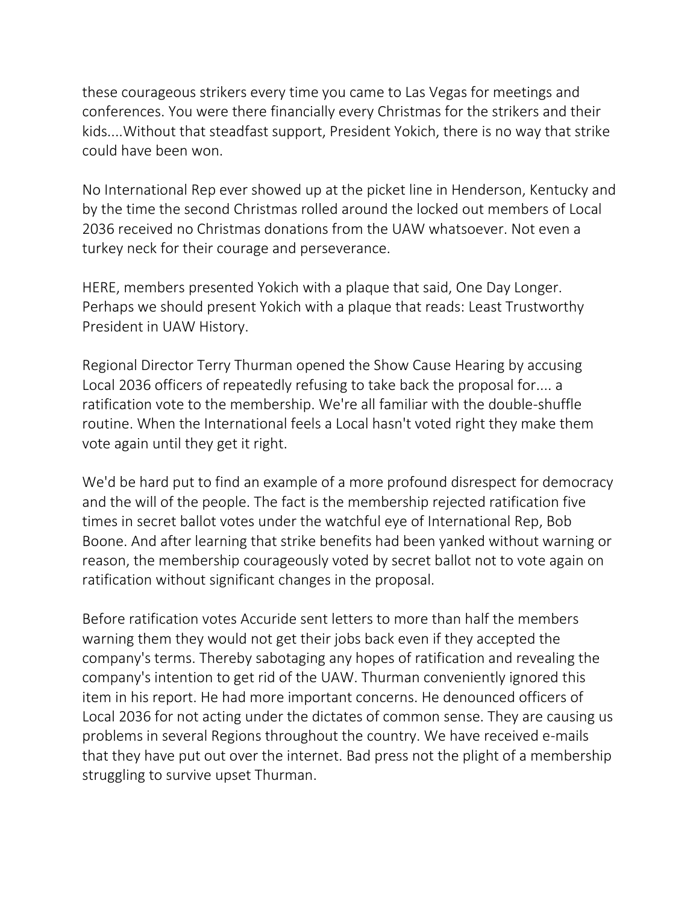these courageous strikers every time you came to Las Vegas for meetings and conferences. You were there financially every Christmas for the strikers and their kids....Without that steadfast support, President Yokich, there is no way that strike could have been won.

No International Rep ever showed up at the picket line in Henderson, Kentucky and by the time the second Christmas rolled around the locked out members of Local 2036 received no Christmas donations from the UAW whatsoever. Not even a turkey neck for their courage and perseverance.

HERE, members presented Yokich with a plaque that said, One Day Longer. Perhaps we should present Yokich with a plaque that reads: Least Trustworthy President in UAW History.

Regional Director Terry Thurman opened the Show Cause Hearing by accusing Local 2036 officers of repeatedly refusing to take back the proposal for.... a ratification vote to the membership. We're all familiar with the double-shuffle routine. When the International feels a Local hasn't voted right they make them vote again until they get it right.

We'd be hard put to find an example of a more profound disrespect for democracy and the will of the people. The fact is the membership rejected ratification five times in secret ballot votes under the watchful eye of International Rep, Bob Boone. And after learning that strike benefits had been yanked without warning or reason, the membership courageously voted by secret ballot not to vote again on ratification without significant changes in the proposal.

Before ratification votes Accuride sent letters to more than half the members warning them they would not get their jobs back even if they accepted the company's terms. Thereby sabotaging any hopes of ratification and revealing the company's intention to get rid of the UAW. Thurman conveniently ignored this item in his report. He had more important concerns. He denounced officers of Local 2036 for not acting under the dictates of common sense. They are causing us problems in several Regions throughout the country. We have received e-mails that they have put out over the internet. Bad press not the plight of a membership struggling to survive upset Thurman.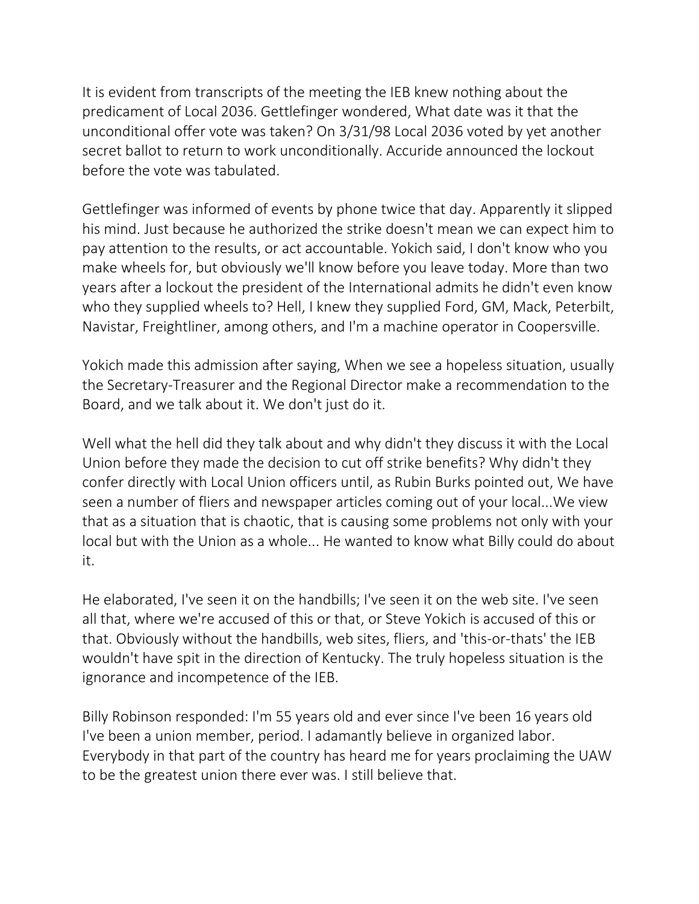It is evident from transcripts of the meeting the IEB knew nothing about the predicament of Local 2036. Gettlefinger wondered, What date was it that the unconditional offer vote was taken? On 3/31/98 Local 2036 voted by yet another secret ballot to return to work unconditionally. Accuride announced the lockout before the vote was tabulated.

Gettlefinger was informed of events by phone twice that day. Apparently it slipped his mind. Just because he authorized the strike doesn't mean we can expect him to pay attention to the results, or act accountable. Yokich said, I don't know who you make wheels for, but obviously we'll know before you leave today. More than two years after a lockout the president of the International admits he didn't even know who they supplied wheels to? Hell, I knew they supplied Ford, GM, Mack, Peterbilt, Navistar, Freightliner, among others, and I'm a machine operator in Coopersville.

Yokich made this admission after saying, When we see a hopeless situation, usually the Secretary-Treasurer and the Regional Director make a recommendation to the Board, and we talk about it. We don't just do it.

Well what the hell did they talk about and why didn't they discuss it with the Local Union before they made the decision to cut off strike benefits? Why didn't they confer directly with Local Union officers until, as Rubin Burks pointed out, We have seen a number of fliers and newspaper articles coming out of your local...We view that as a situation that is chaotic, that is causing some problems not only with your local but with the Union as a whole... He wanted to know what Billy could do about it.

He elaborated, I've seen it on the handbills; I've seen it on the web site. I've seen all that, where we're accused of this or that, or Steve Yokich is accused of this or that. Obviously without the handbills, web sites, fliers, and 'this-or-thats' the IEB wouldn't have spit in the direction of Kentucky. The truly hopeless situation is the ignorance and incompetence of the IEB.

Billy Robinson responded: I'm 55 years old and ever since I've been 16 years old I've been a union member, period. I adamantly believe in organized labor. Everybody in that part of the country has heard me for years proclaiming the UAW to be the greatest union there ever was. I still believe that.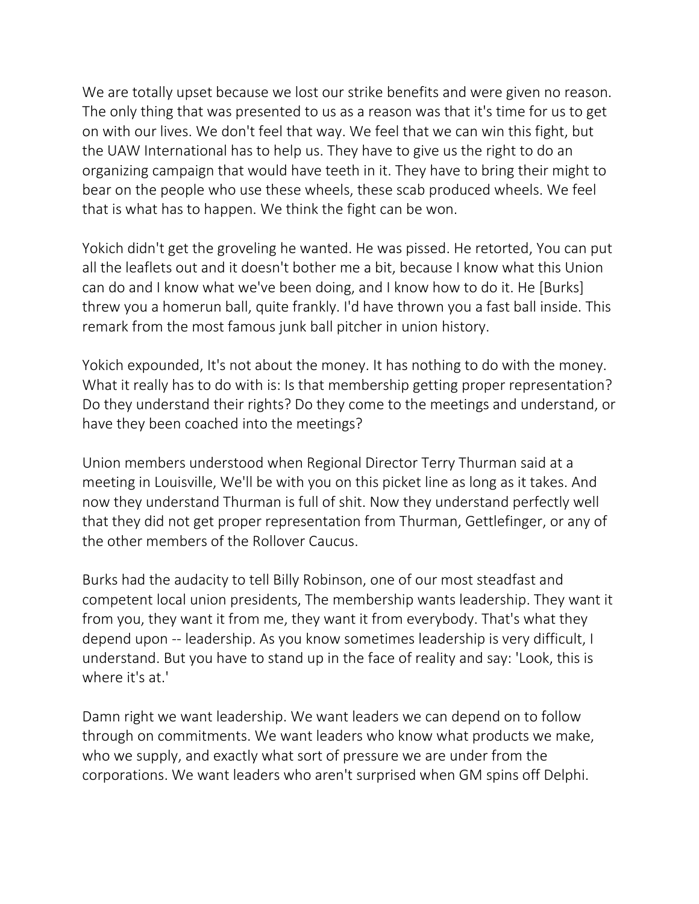We are totally upset because we lost our strike benefits and were given no reason. The only thing that was presented to us as a reason was that it's time for us to get on with our lives. We don't feel that way. We feel that we can win this fight, but the UAW International has to help us. They have to give us the right to do an organizing campaign that would have teeth in it. They have to bring their might to bear on the people who use these wheels, these scab produced wheels. We feel that is what has to happen. We think the fight can be won.

Yokich didn't get the groveling he wanted. He was pissed. He retorted, You can put all the leaflets out and it doesn't bother me a bit, because I know what this Union can do and I know what we've been doing, and I know how to do it. He [Burks] threw you a homerun ball, quite frankly. I'd have thrown you a fast ball inside. This remark from the most famous junk ball pitcher in union history.

Yokich expounded, It's not about the money. It has nothing to do with the money. What it really has to do with is: Is that membership getting proper representation? Do they understand their rights? Do they come to the meetings and understand, or have they been coached into the meetings?

Union members understood when Regional Director Terry Thurman said at a meeting in Louisville, We'll be with you on this picket line as long as it takes. And now they understand Thurman is full of shit. Now they understand perfectly well that they did not get proper representation from Thurman, Gettlefinger, or any of the other members of the Rollover Caucus.

Burks had the audacity to tell Billy Robinson, one of our most steadfast and competent local union presidents, The membership wants leadership. They want it from you, they want it from me, they want it from everybody. That's what they depend upon -- leadership. As you know sometimes leadership is very difficult, I understand. But you have to stand up in the face of reality and say: 'Look, this is where it's at.'

Damn right we want leadership. We want leaders we can depend on to follow through on commitments. We want leaders who know what products we make, who we supply, and exactly what sort of pressure we are under from the corporations. We want leaders who aren't surprised when GM spins off Delphi.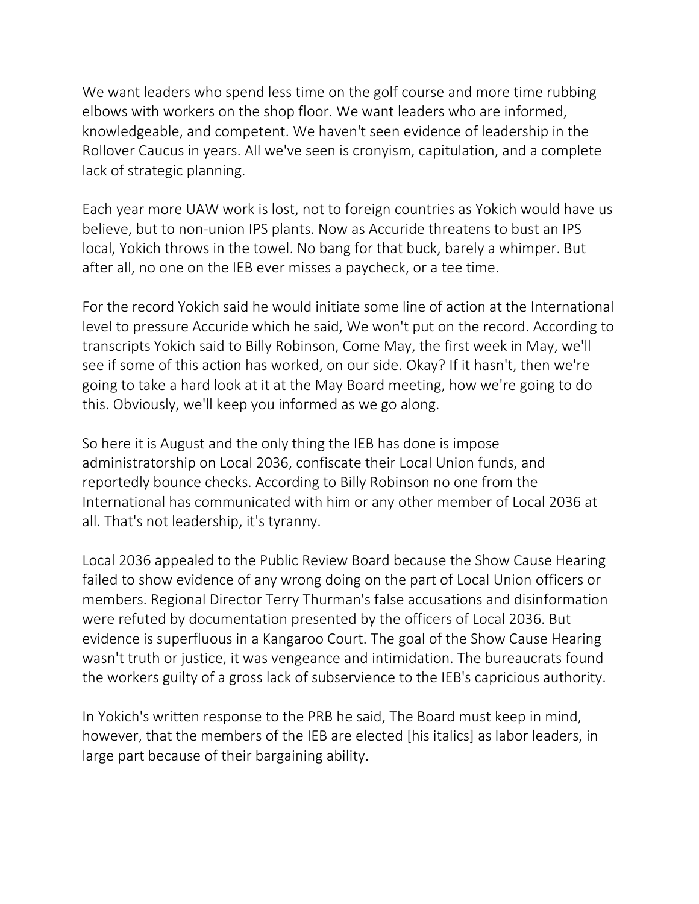We want leaders who spend less time on the golf course and more time rubbing elbows with workers on the shop floor. We want leaders who are informed, knowledgeable, and competent. We haven't seen evidence of leadership in the Rollover Caucus in years. All we've seen is cronyism, capitulation, and a complete lack of strategic planning.

Each year more UAW work is lost, not to foreign countries as Yokich would have us believe, but to non-union IPS plants. Now as Accuride threatens to bust an IPS local, Yokich throws in the towel. No bang for that buck, barely a whimper. But after all, no one on the IEB ever misses a paycheck, or a tee time.

For the record Yokich said he would initiate some line of action at the International level to pressure Accuride which he said, We won't put on the record. According to transcripts Yokich said to Billy Robinson, Come May, the first week in May, we'll see if some of this action has worked, on our side. Okay? If it hasn't, then we're going to take a hard look at it at the May Board meeting, how we're going to do this. Obviously, we'll keep you informed as we go along.

So here it is August and the only thing the IEB has done is impose administratorship on Local 2036, confiscate their Local Union funds, and reportedly bounce checks. According to Billy Robinson no one from the International has communicated with him or any other member of Local 2036 at all. That's not leadership, it's tyranny.

Local 2036 appealed to the Public Review Board because the Show Cause Hearing failed to show evidence of any wrong doing on the part of Local Union officers or members. Regional Director Terry Thurman's false accusations and disinformation were refuted by documentation presented by the officers of Local 2036. But evidence is superfluous in a Kangaroo Court. The goal of the Show Cause Hearing wasn't truth or justice, it was vengeance and intimidation. The bureaucrats found the workers guilty of a gross lack of subservience to the IEB's capricious authority.

In Yokich's written response to the PRB he said, The Board must keep in mind, however, that the members of the IEB are elected [his italics] as labor leaders, in large part because of their bargaining ability.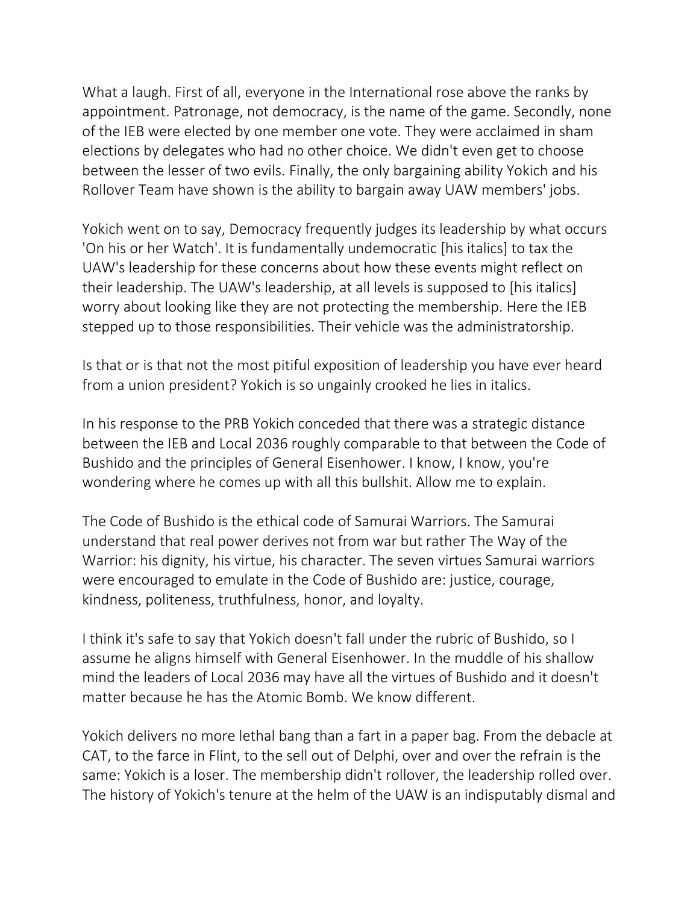What a laugh. First of all, everyone in the International rose above the ranks by appointment. Patronage, not democracy, is the name of the game. Secondly, none of the IEB were elected by one member one vote. They were acclaimed in sham elections by delegates who had no other choice. We didn't even get to choose between the lesser of two evils. Finally, the only bargaining ability Yokich and his Rollover Team have shown is the ability to bargain away UAW members' jobs.

Yokich went on to say, Democracy frequently judges its leadership by what occurs 'On his or her Watch'. It is fundamentally undemocratic [his italics] to tax the UAW's leadership for these concerns about how these events might reflect on their leadership. The UAW's leadership, at all levels is supposed to [his italics] worry about looking like they are not protecting the membership. Here the IEB stepped up to those responsibilities. Their vehicle was the administratorship.

Is that or is that not the most pitiful exposition of leadership you have ever heard from a union president? Yokich is so ungainly crooked he lies in italics.

In his response to the PRB Yokich conceded that there was a strategic distance between the IEB and Local 2036 roughly comparable to that between the Code of Bushido and the principles of General Eisenhower. I know, I know, you're wondering where he comes up with all this bullshit. Allow me to explain.

The Code of Bushido is the ethical code of Samurai Warriors. The Samurai understand that real power derives not from war but rather The Way of the Warrior: his dignity, his virtue, his character. The seven virtues Samurai warriors were encouraged to emulate in the Code of Bushido are: justice, courage, kindness, politeness, truthfulness, honor, and loyalty.

I think it's safe to say that Yokich doesn't fall under the rubric of Bushido, so I assume he aligns himself with General Eisenhower. In the muddle of his shallow mind the leaders of Local 2036 may have all the virtues of Bushido and it doesn't matter because he has the Atomic Bomb. We know different.

Yokich delivers no more lethal bang than a fart in a paper bag. From the debacle at CAT, to the farce in Flint, to the sell out of Delphi, over and over the refrain is the same: Yokich is a loser. The membership didn't rollover, the leadership rolled over. The history of Yokich's tenure at the helm of the UAW is an indisputably dismal and